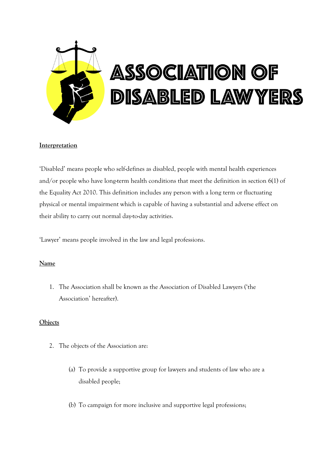

# **Interpretation**

'Disabled' means people who self-defines as disabled, people with mental health experiences and/or people who have long-term health conditions that meet the definition in section 6(1) of the Equality Act 2010. This definition includes any person with a long term or fluctuating physical or mental impairment which is capable of having a substantial and adverse effect on their ability to carry out normal day-to-day activities.

'Lawyer' means people involved in the law and legal professions.

# **Name**

1. The Association shall be known as the Association of Disabled Lawyers ('the Association' hereafter).

# **Objects**

- 2. The objects of the Association are:
	- (a) To provide a supportive group for lawyers and students of law who are a disabled people;
	- (b) To campaign for more inclusive and supportive legal professions;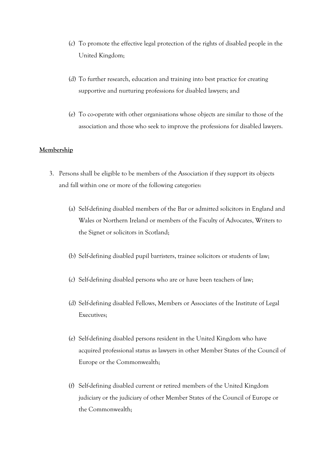- (c) To promote the effective legal protection of the rights of disabled people in the United Kingdom;
- (d) To further research, education and training into best practice for creating supportive and nurturing professions for disabled lawyers; and
- (e) To co-operate with other organisations whose objects are similar to those of the association and those who seek to improve the professions for disabled lawyers.

## **Membership**

- 3. Persons shall be eligible to be members of the Association if they support its objects and fall within one or more of the following categories:
	- (a) Self-defining disabled members of the Bar or admitted solicitors in England and Wales or Northern Ireland or members of the Faculty of Advocates, Writers to the Signet or solicitors in Scotland;
	- (b) Self-defining disabled pupil barristers, trainee solicitors or students of law;
	- (c) Self-defining disabled persons who are or have been teachers of law;
	- (d) Self-defining disabled Fellows, Members or Associates of the Institute of Legal Executives;
	- (e) Self-defining disabled persons resident in the United Kingdom who have acquired professional status as lawyers in other Member States of the Council of Europe or the Commonwealth;
	- (f) Self-defining disabled current or retired members of the United Kingdom judiciary or the judiciary of other Member States of the Council of Europe or the Commonwealth;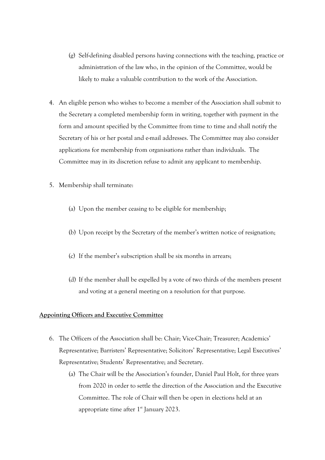- (g) Self-defining disabled persons having connections with the teaching, practice or administration of the law who, in the opinion of the Committee, would be likely to make a valuable contribution to the work of the Association.
- 4. An eligible person who wishes to become a member of the Association shall submit to the Secretary a completed membership form in writing, together with payment in the form and amount specified by the Committee from time to time and shall notify the Secretary of his or her postal and e-mail addresses. The Committee may also consider applications for membership from organisations rather than individuals. The Committee may in its discretion refuse to admit any applicant to membership.
- 5. Membership shall terminate:
	- (a) Upon the member ceasing to be eligible for membership;
	- (b) Upon receipt by the Secretary of the member's written notice of resignation;
	- (c) If the member's subscription shall be six months in arrears;
	- (d) If the member shall be expelled by a vote of two thirds of the members present and voting at a general meeting on a resolution for that purpose.

### **Appointing Officers and Executive Committee**

- 6. The Officers of the Association shall be: Chair; Vice-Chair; Treasurer; Academics' Representative; Barristers' Representative; Solicitors' Representative; Legal Executives' Representative; Students' Representative; and Secretary.
	- (a) The Chair will be the Association's founder, Daniel Paul Holt, for three years from 2020 in order to settle the direction of the Association and the Executive Committee. The role of Chair will then be open in elections held at an appropriate time after  $1<sup>st</sup>$  January 2023.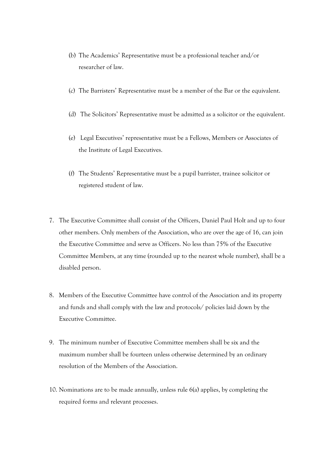- (b) The Academics' Representative must be a professional teacher and/or researcher of law.
- (c) The Barristers' Representative must be a member of the Bar or the equivalent.
- (d) The Solicitors' Representative must be admitted as a solicitor or the equivalent.
- (e) Legal Executives' representative must be a Fellows, Members or Associates of the Institute of Legal Executives.
- (f) The Students' Representative must be a pupil barrister, trainee solicitor or registered student of law.
- 7. The Executive Committee shall consist of the Officers, Daniel Paul Holt and up to four other members. Only members of the Association, who are over the age of 16, can join the Executive Committee and serve as Officers. No less than 75% of the Executive Committee Members, at any time (rounded up to the nearest whole number), shall be a disabled person.
- 8. Members of the Executive Committee have control of the Association and its property and funds and shall comply with the law and protocols/ policies laid down by the Executive Committee.
- 9. The minimum number of Executive Committee members shall be six and the maximum number shall be fourteen unless otherwise determined by an ordinary resolution of the Members of the Association.
- 10. Nominations are to be made annually, unless rule 6(a) applies, by completing the required forms and relevant processes.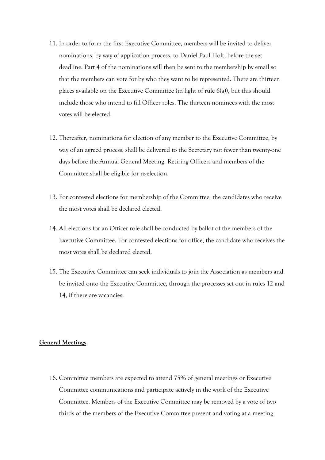- 11. In order to form the first Executive Committee, members will be invited to deliver nominations, by way of application process, to Daniel Paul Holt, before the set deadline. Part 4 of the nominations will then be sent to the membership by email so that the members can vote for by who they want to be represented. There are thirteen places available on the Executive Committee (in light of rule 6(a)), but this should include those who intend to fill Officer roles. The thirteen nominees with the most votes will be elected.
- 12. Thereafter, nominations for election of any member to the Executive Committee, by way of an agreed process, shall be delivered to the Secretary not fewer than twenty-one days before the Annual General Meeting. Retiring Officers and members of the Committee shall be eligible for re-election.
- 13. For contested elections for membership of the Committee, the candidates who receive the most votes shall be declared elected.
- 14. All elections for an Officer role shall be conducted by ballot of the members of the Executive Committee. For contested elections for office, the candidate who receives the most votes shall be declared elected.
- 15. The Executive Committee can seek individuals to join the Association as members and be invited onto the Executive Committee, through the processes set out in rules 12 and 14, if there are vacancies.

### **General Meetings**

16. Committee members are expected to attend 75% of general meetings or Executive Committee communications and participate actively in the work of the Executive Committee. Members of the Executive Committee may be removed by a vote of two thirds of the members of the Executive Committee present and voting at a meeting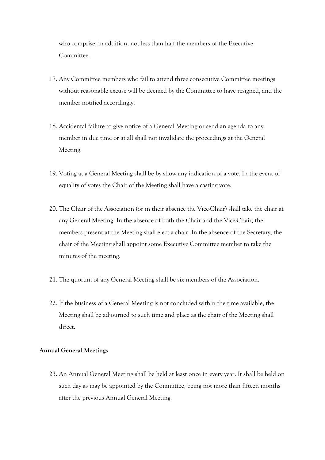who comprise, in addition, not less than half the members of the Executive Committee.

- 17. Any Committee members who fail to attend three consecutive Committee meetings without reasonable excuse will be deemed by the Committee to have resigned, and the member notified accordingly.
- 18. Accidental failure to give notice of a General Meeting or send an agenda to any member in due time or at all shall not invalidate the proceedings at the General Meeting.
- 19. Voting at a General Meeting shall be by show any indication of a vote. In the event of equality of votes the Chair of the Meeting shall have a casting vote.
- 20. The Chair of the Association (or in their absence the Vice-Chair) shall take the chair at any General Meeting. In the absence of both the Chair and the Vice-Chair, the members present at the Meeting shall elect a chair. In the absence of the Secretary, the chair of the Meeting shall appoint some Executive Committee member to take the minutes of the meeting.
- 21. The quorum of any General Meeting shall be six members of the Association.
- 22. If the business of a General Meeting is not concluded within the time available, the Meeting shall be adjourned to such time and place as the chair of the Meeting shall direct.

#### **Annual General Meetings**

23. An Annual General Meeting shall be held at least once in every year. It shall be held on such day as may be appointed by the Committee, being not more than fifteen months after the previous Annual General Meeting.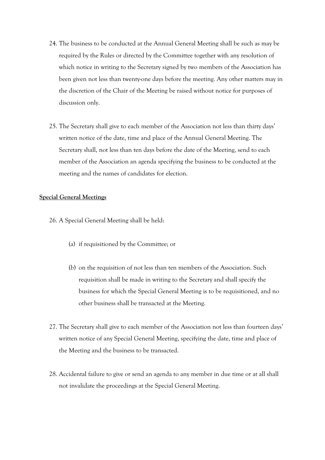- 24. The business to be conducted at the Annual General Meeting shall be such as may be required by the Rules or directed by the Committee together with any resolution of which notice in writing to the Secretary signed by two members of the Association has been given not less than twenty-one days before the meeting. Any other matters may in the discretion of the Chair of the Meeting be raised without notice for purposes of discussion only.
- 25. The Secretary shall give to each member of the Association not less than thirty days' written notice of the date, time and place of the Annual General Meeting. The Secretary shall, not less than ten days before the date of the Meeting, send to each member of the Association an agenda specifying the business to be conducted at the meeting and the names of candidates for election.

### **Special General Meetings**

- 26. A Special General Meeting shall be held:
	- (a) if requisitioned by the Committee; or
	- (b) on the requisition of not less than ten members of the Association. Such requisition shall be made in writing to the Secretary and shall specify the business for which the Special General Meeting is to be requisitioned, and no other business shall be transacted at the Meeting.
- 27. The Secretary shall give to each member of the Association not less than fourteen days' written notice of any Special General Meeting, specifying the date, time and place of the Meeting and the business to be transacted.
- 28. Accidental failure to give or send an agenda to any member in due time or at all shall not invalidate the proceedings at the Special General Meeting.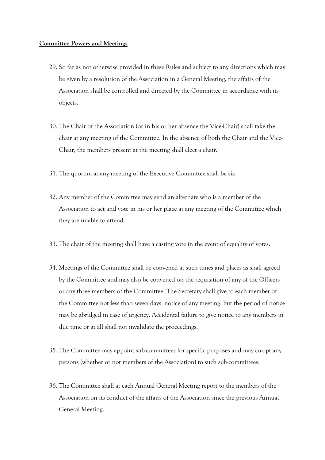#### **Committee Powers and Meetings**

- 29. So far as not otherwise provided in these Rules and subject to any directions which may be given by a resolution of the Association in a General Meeting, the affairs of the Association shall be controlled and directed by the Committee in accordance with its objects.
- 30. The Chair of the Association (or in his or her absence the Vice-Chair) shall take the chair at any meeting of the Committee. In the absence of both the Chair and the Vice-Chair, the members present at the meeting shall elect a chair.
- 31. The quorum at any meeting of the Executive Committee shall be six.
- 32. Any member of the Committee may send an alternate who is a member of the Association to act and vote in his or her place at any meeting of the Committee which they are unable to attend.
- 33. The chair of the meeting shall have a casting vote in the event of equality of votes.
- 34. Meetings of the Committee shall be convened at such times and places as shall agreed by the Committee and may also be convened on the requisition of any of the Officers or any three members of the Committee. The Secretary shall give to each member of the Committee not less than seven days' notice of any meeting, but the period of notice may be abridged in case of urgency. Accidental failure to give notice to any members in due time or at all shall not invalidate the proceedings.
- 35. The Committee may appoint sub-committees for specific purposes and may co-opt any persons (whether or not members of the Association) to such sub-committees.
- 36. The Committee shall at each Annual General Meeting report to the members of the Association on its conduct of the affairs of the Association since the previous Annual General Meeting.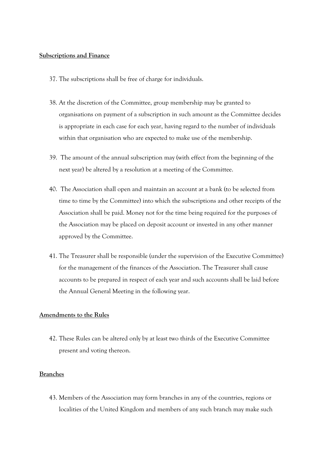#### **Subscriptions and Finance**

- 37. The subscriptions shall be free of charge for individuals.
- 38. At the discretion of the Committee, group membership may be granted to organisations on payment of a subscription in such amount as the Committee decides is appropriate in each case for each year, having regard to the number of individuals within that organisation who are expected to make use of the membership.
- 39. The amount of the annual subscription may (with effect from the beginning of the next year) be altered by a resolution at a meeting of the Committee.
- 40. The Association shall open and maintain an account at a bank (to be selected from time to time by the Committee) into which the subscriptions and other receipts of the Association shall be paid. Money not for the time being required for the purposes of the Association may be placed on deposit account or invested in any other manner approved by the Committee.
- 41. The Treasurer shall be responsible (under the supervision of the Executive Committee) for the management of the finances of the Association. The Treasurer shall cause accounts to be prepared in respect of each year and such accounts shall be laid before the Annual General Meeting in the following year.

### **Amendments to the Rules**

42. These Rules can be altered only by at least two thirds of the Executive Committee present and voting thereon.

# **Branches**

43. Members of the Association may form branches in any of the countries, regions or localities of the United Kingdom and members of any such branch may make such